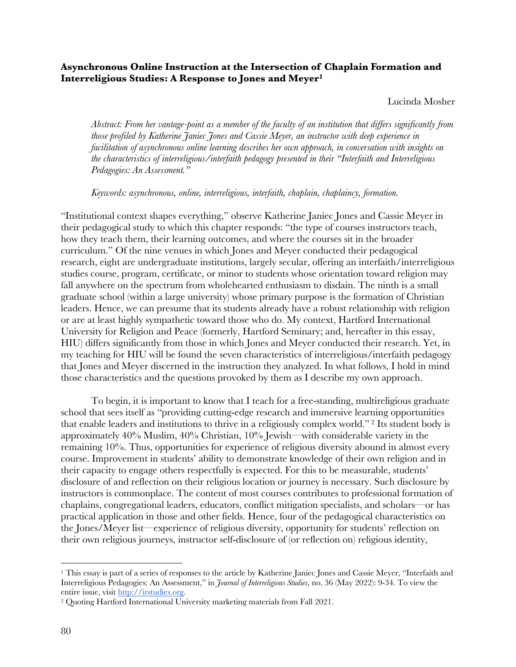## **Asynchronous Online Instruction at the Intersection of Chaplain Formation and Interreligious Studies: A Response to Jones and Meyer1**

Lucinda Mosher

*Abstract: From her vantage-point as a member of the faculty of an institution that differs significantly from those profiled by Katherine Janiec Jones and Cassie Meyer, an instructor with deep experience in facilitation of asynchronous online learning describes her own approach, in conversation with insights on the characteristics of interreligious/interfaith pedagogy presented in their "Interfaith and Interreligious Pedagogies: An Assessment."* 

*Keywords: asynchronous, online, interreligious, interfaith, chaplain, chaplaincy, formation.*

"Institutional context shapes everything," observe Katherine Janiec Jones and Cassie Meyer in their pedagogical study to which this chapter responds: "the type of courses instructors teach, how they teach them, their learning outcomes, and where the courses sit in the broader curriculum." Of the nine venues in which Jones and Meyer conducted their pedagogical research, eight are undergraduate institutions, largely secular, offering an interfaith/interreligious studies course, program, certificate, or minor to students whose orientation toward religion may fall anywhere on the spectrum from wholehearted enthusiasm to disdain. The ninth is a small graduate school (within a large university) whose primary purpose is the formation of Christian leaders. Hence, we can presume that its students already have a robust relationship with religion or are at least highly sympathetic toward those who do. My context, Hartford International University for Religion and Peace (formerly, Hartford Seminary; and, hereafter in this essay, HIU) differs significantly from those in which Jones and Meyer conducted their research. Yet, in my teaching for HIU will be found the seven characteristics of interreligious/interfaith pedagogy that Jones and Meyer discerned in the instruction they analyzed. In what follows, I hold in mind those characteristics and the questions provoked by them as I describe my own approach.

To begin, it is important to know that I teach for a free-standing, multireligious graduate school that sees itself as "providing cutting-edge research and immersive learning opportunities that enable leaders and institutions to thrive in a religiously complex world." <sup>2</sup> Its student body is approximately 40% Muslim, 40% Christian, 10% Jewish—with considerable variety in the remaining 10%. Thus, opportunities for experience of religious diversity abound in almost every course. Improvement in students' ability to demonstrate knowledge of their own religion and in their capacity to engage others respectfully is expected. For this to be measurable, students' disclosure of and reflection on their religious location or journey is necessary. Such disclosure by instructors is commonplace. The content of most courses contributes to professional formation of chaplains, congregational leaders, educators, conflict mitigation specialists, and scholars—or has practical application in those and other fields. Hence, four of the pedagogical characteristics on the Jones/Meyer list—experience of religious diversity, opportunity for students' reflection on their own religious journeys, instructor self-disclosure of (or reflection on) religious identity,

<sup>&</sup>lt;sup>1</sup> This essay is part of a series of responses to the article by Katherine Janiec Jones and Cassie Meyer, "Interfaith and Interreligious Pedagogies: An Assessment," in *Journal of Interreligious Studies*, no. 36 (May 2022): 9-34. To view the entire issue, visit http://irstudies.org.

<sup>2</sup> Quoting Hartford International University marketing materials from Fall 2021.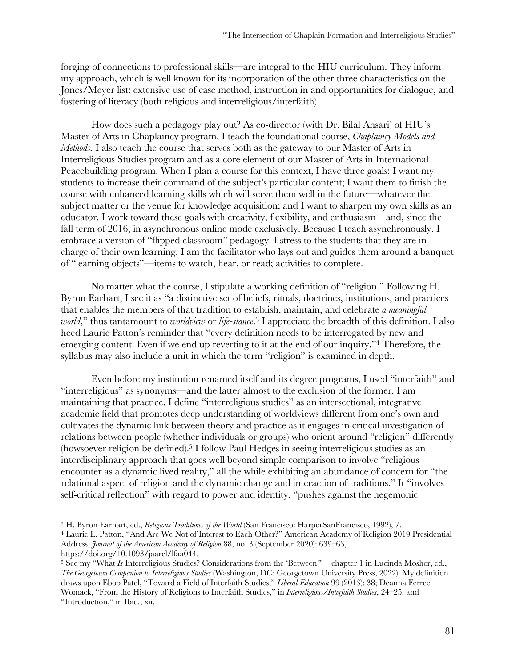forging of connections to professional skills—are integral to the HIU curriculum. They inform my approach, which is well known for its incorporation of the other three characteristics on the Jones/Meyer list: extensive use of case method, instruction in and opportunities for dialogue, and fostering of literacy (both religious and interreligious/interfaith).

How does such a pedagogy play out? As co-director (with Dr. Bilal Ansari) of HIU's Master of Arts in Chaplaincy program, I teach the foundational course, *Chaplaincy Models and Methods.* I also teach the course that serves both as the gateway to our Master of Arts in Interreligious Studies program and as a core element of our Master of Arts in International Peacebuilding program. When I plan a course for this context, I have three goals: I want my students to increase their command of the subject's particular content; I want them to finish the course with enhanced learning skills which will serve them well in the future—whatever the subject matter or the venue for knowledge acquisition; and I want to sharpen my own skills as an educator. I work toward these goals with creativity, flexibility, and enthusiasm—and, since the fall term of 2016, in asynchronous online mode exclusively. Because I teach asynchronously, I embrace a version of "flipped classroom" pedagogy. I stress to the students that they are in charge of their own learning. I am the facilitator who lays out and guides them around a banquet of "learning objects"—items to watch, hear, or read; activities to complete.

No matter what the course, I stipulate a working definition of "religion." Following H. Byron Earhart, I see it as "a distinctive set of beliefs, rituals, doctrines, institutions, and practices that enables the members of that tradition to establish, maintain, and celebrate *a meaningful world*," thus tantamount to *worldview* or *life-stance*. <sup>3</sup> I appreciate the breadth of this definition. I also heed Laurie Patton's reminder that "every definition needs to be interrogated by new and emerging content. Even if we end up reverting to it at the end of our inquiry."4 Therefore, the syllabus may also include a unit in which the term "religion" is examined in depth.

Even before my institution renamed itself and its degree programs, I used "interfaith" and "interreligious" as synonyms—and the latter almost to the exclusion of the former. I am maintaining that practice. I define "interreligious studies" as an intersectional, integrative academic field that promotes deep understanding of worldviews different from one's own and cultivates the dynamic link between theory and practice as it engages in critical investigation of relations between people (whether individuals or groups) who orient around "religion" differently (howsoever religion be defined).5 I follow Paul Hedges in seeing interreligious studies as an interdisciplinary approach that goes well beyond simple comparison to involve "religious encounter as a dynamic lived reality," all the while exhibiting an abundance of concern for "the relational aspect of religion and the dynamic change and interaction of traditions." It "involves self-critical reflection" with regard to power and identity, "pushes against the hegemonic

<sup>3</sup> H. Byron Earhart, ed., *Religious Traditions of the World* (San Francisco: HarperSanFrancisco, 1992), 7.

<sup>4</sup> Laurie L. Patton, "And Are We Not of Interest to Each Other?" American Academy of Religion 2019 Presidential Address, *Journal of the American Academy of Religion* 88, no. 3 (September 2020): 639–63, https://doi.org/10.1093/jaarel/lfaa044.

<sup>5</sup> See my "What *Is* Interreligious Studies? Considerations from the 'Between'"—chapter 1 in Lucinda Mosher, ed., *The Georgetown Companion to Interreligious Studies* (Washington, DC: Georgetown University Press, 2022). My definition draws upon Eboo Patel, "Toward a Field of Interfaith Studies," *Liberal Education* 99 (2013): 38; Deanna Ferree Womack, "From the History of Religions to Interfaith Studies," in *Interreligious/Interfaith Studies*, 24–25; and "Introduction," in Ibid*.*, xii.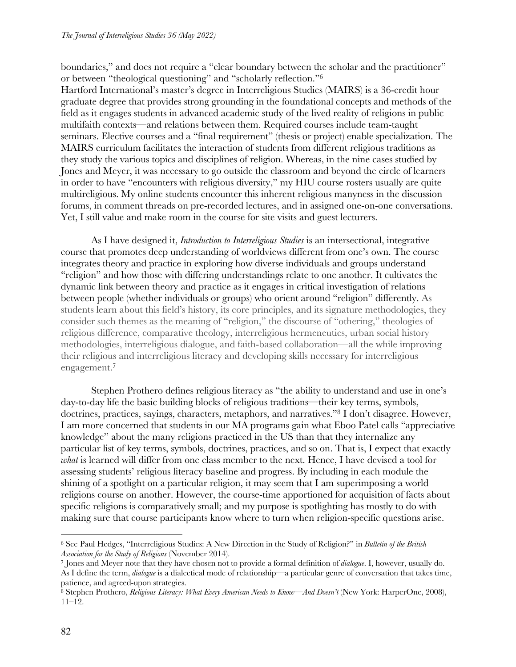boundaries," and does not require a "clear boundary between the scholar and the practitioner" or between "theological questioning" and "scholarly reflection."6

Hartford International's master's degree in Interreligious Studies (MAIRS) is a 36-credit hour graduate degree that provides strong grounding in the foundational concepts and methods of the field as it engages students in advanced academic study of the lived reality of religions in public multifaith contexts—and relations between them. Required courses include team-taught seminars. Elective courses and a "final requirement" (thesis or project) enable specialization. The MAIRS curriculum facilitates the interaction of students from different religious traditions as they study the various topics and disciplines of religion. Whereas, in the nine cases studied by Jones and Meyer, it was necessary to go outside the classroom and beyond the circle of learners in order to have "encounters with religious diversity," my HIU course rosters usually are quite multireligious. My online students encounter this inherent religious manyness in the discussion forums, in comment threads on pre-recorded lectures, and in assigned one-on-one conversations. Yet, I still value and make room in the course for site visits and guest lecturers.

As I have designed it, *Introduction to Interreligious Studies* is an intersectional, integrative course that promotes deep understanding of worldviews different from one's own. The course integrates theory and practice in exploring how diverse individuals and groups understand "religion" and how those with differing understandings relate to one another. It cultivates the dynamic link between theory and practice as it engages in critical investigation of relations between people (whether individuals or groups) who orient around "religion" differently. As students learn about this field's history, its core principles, and its signature methodologies, they consider such themes as the meaning of "religion," the discourse of "othering," theologies of religious difference, comparative theology, interreligious hermeneutics, urban social history methodologies, interreligious dialogue, and faith-based collaboration—all the while improving their religious and interreligious literacy and developing skills necessary for interreligious engagement.7

Stephen Prothero defines religious literacy as "the ability to understand and use in one's day-to-day life the basic building blocks of religious traditions—their key terms, symbols, doctrines, practices, sayings, characters, metaphors, and narratives."8 I don't disagree. However, I am more concerned that students in our MA programs gain what Eboo Patel calls "appreciative knowledge" about the many religions practiced in the US than that they internalize any particular list of key terms, symbols, doctrines, practices, and so on. That is, I expect that exactly *what* is learned will differ from one class member to the next. Hence, I have devised a tool for assessing students' religious literacy baseline and progress. By including in each module the shining of a spotlight on a particular religion, it may seem that I am superimposing a world religions course on another. However, the course-time apportioned for acquisition of facts about specific religions is comparatively small; and my purpose is spotlighting has mostly to do with making sure that course participants know where to turn when religion-specific questions arise.

<sup>6</sup> See Paul Hedges, "Interreligious Studies: A New Direction in the Study of Religion?" in *Bulletin of the British Association for the Study of Religions* (November 2014). 7 Jones and Meyer note that they have chosen not to provide a formal definition of *dialogue*. I, however, usually do.

As I define the term, *dialogue* is a dialectical mode of relationship—a particular genre of conversation that takes time,

<sup>&</sup>lt;sup>8</sup> Stephen Prothero, *Religious Literacy: What Every American Needs to Know—And Doesn't* (New York: HarperOne, 2008),  $11-12.$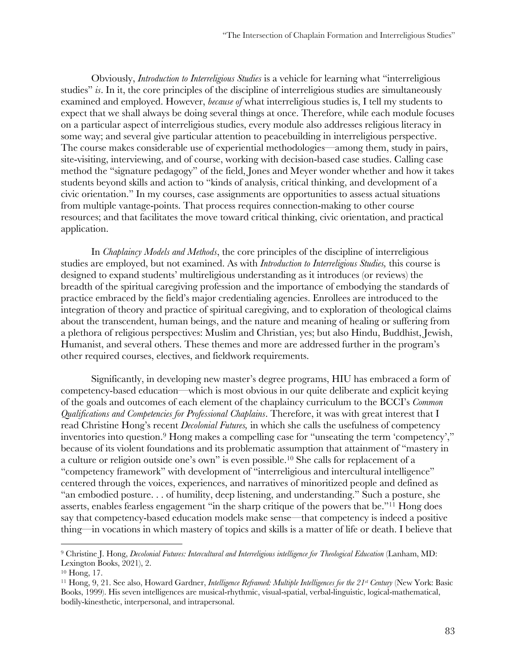Obviously, *Introduction to Interreligious Studies* is a vehicle for learning what "interreligious studies" *is*. In it, the core principles of the discipline of interreligious studies are simultaneously examined and employed. However, *because of* what interreligious studies is, I tell my students to expect that we shall always be doing several things at once. Therefore, while each module focuses on a particular aspect of interreligious studies, every module also addresses religious literacy in some way; and several give particular attention to peacebuilding in interreligious perspective. The course makes considerable use of experiential methodologies—among them, study in pairs, site-visiting, interviewing, and of course, working with decision-based case studies. Calling case method the "signature pedagogy" of the field, Jones and Meyer wonder whether and how it takes students beyond skills and action to "kinds of analysis, critical thinking, and development of a civic orientation." In my courses, case assignments are opportunities to assess actual situations from multiple vantage-points. That process requires connection-making to other course resources; and that facilitates the move toward critical thinking, civic orientation, and practical application.

In *Chaplaincy Models and Methods*, the core principles of the discipline of interreligious studies are employed, but not examined. As with *Introduction to Interreligious Studies,* this course is designed to expand students' multireligious understanding as it introduces (or reviews) the breadth of the spiritual caregiving profession and the importance of embodying the standards of practice embraced by the field's major credentialing agencies. Enrollees are introduced to the integration of theory and practice of spiritual caregiving, and to exploration of theological claims about the transcendent, human beings, and the nature and meaning of healing or suffering from a plethora of religious perspectives: Muslim and Christian, yes; but also Hindu, Buddhist, Jewish, Humanist, and several others. These themes and more are addressed further in the program's other required courses, electives, and fieldwork requirements.

Significantly, in developing new master's degree programs, HIU has embraced a form of competency-based education—which is most obvious in our quite deliberate and explicit keying of the goals and outcomes of each element of the chaplaincy curriculum to the BCCI's *Common Qualifications and Competencies for Professional Chaplains*. Therefore, it was with great interest that I read Christine Hong's recent *Decolonial Futures,* in which she calls the usefulness of competency inventories into question.<sup>9</sup> Hong makes a compelling case for "unseating the term 'competency'," because of its violent foundations and its problematic assumption that attainment of "mastery in a culture or religion outside one's own" is even possible.10 She calls for replacement of a "competency framework" with development of "interreligious and intercultural intelligence" centered through the voices, experiences, and narratives of minoritized people and defined as "an embodied posture. . . of humility, deep listening, and understanding." Such a posture, she asserts, enables fearless engagement "in the sharp critique of the powers that be."11 Hong does say that competency-based education models make sense—that competency is indeed a positive thing—in vocations in which mastery of topics and skills is a matter of life or death. I believe that

<sup>9</sup> Christine J. Hong, *Decolonial Futures: Intercultural and Interreligious intelligence for Theological Education* (Lanham, MD: Lexington Books, 2021), 2.

<sup>10</sup> Hong, 17.

<sup>&</sup>lt;sup>11</sup> Hong, 9, 21. See also, Howard Gardner, *Intelligence Reframed: Multiple Intelligences for the* 21<sup>st</sup> *Century* (New York: Basic Books, 1999). His seven intelligences are musical-rhythmic, visual-spatial, verbal-linguistic, logical-mathematical, bodily-kinesthetic, interpersonal, and intrapersonal.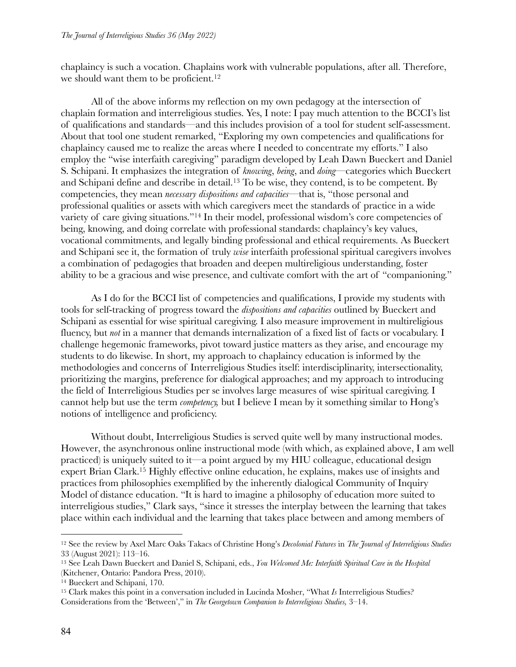chaplaincy is such a vocation. Chaplains work with vulnerable populations, after all. Therefore, we should want them to be proficient.<sup>12</sup>

All of the above informs my reflection on my own pedagogy at the intersection of chaplain formation and interreligious studies. Yes, I note: I pay much attention to the BCCI's list of qualifications and standards—and this includes provision of a tool for student self-assessment. About that tool one student remarked, "Exploring my own competencies and qualifications for chaplaincy caused me to realize the areas where I needed to concentrate my efforts." I also employ the "wise interfaith caregiving" paradigm developed by Leah Dawn Bueckert and Daniel S. Schipani. It emphasizes the integration of *knowing*, *being*, and *doing*—categories which Bueckert and Schipani define and describe in detail. <sup>13</sup> To be wise, they contend, is to be competent. By competencies, they mean *necessary dispositions and capacities—*that is, "those personal and professional qualities or assets with which caregivers meet the standards of practice in a wide variety of care giving situations."14 In their model, professional wisdom's core competencies of being, knowing, and doing correlate with professional standards: chaplaincy's key values, vocational commitments, and legally binding professional and ethical requirements. As Bueckert and Schipani see it, the formation of truly *wise* interfaith professional spiritual caregivers involves a combination of pedagogies that broaden and deepen multireligious understanding, foster ability to be a gracious and wise presence, and cultivate comfort with the art of "companioning."

As I do for the BCCI list of competencies and qualifications, I provide my students with tools for self-tracking of progress toward the *dispositions and capacities* outlined by Bueckert and Schipani as essential for wise spiritual caregiving. I also measure improvement in multireligious fluency, but *not* in a manner that demands internalization of a fixed list of facts or vocabulary. I challenge hegemonic frameworks, pivot toward justice matters as they arise, and encourage my students to do likewise. In short, my approach to chaplaincy education is informed by the methodologies and concerns of Interreligious Studies itself: interdisciplinarity, intersectionality, prioritizing the margins, preference for dialogical approaches; and my approach to introducing the field of Interreligious Studies per se involves large measures of wise spiritual caregiving. I cannot help but use the term *competency,* but I believe I mean by it something similar to Hong's notions of intelligence and proficiency.

Without doubt, Interreligious Studies is served quite well by many instructional modes. However, the asynchronous online instructional mode (with which, as explained above, I am well practiced) is uniquely suited to it—a point argued by my HIU colleague, educational design expert Brian Clark.15 Highly effective online education, he explains, makes use of insights and practices from philosophies exemplified by the inherently dialogical Community of Inquiry Model of distance education. "It is hard to imagine a philosophy of education more suited to interreligious studies," Clark says, "since it stresses the interplay between the learning that takes place within each individual and the learning that takes place between and among members of

<sup>12</sup> See the review by Axel Marc Oaks Takacs of Christine Hong's *Decolonial Futures* in *The Journal of Interreligious Studies*  33 (August 2021): 113–16. 13 See Leah Dawn Bueckert and Daniel S, Schipani, eds., *You Welcomed Me: Interfaith Spiritual Care in the Hospital*

<sup>(</sup>Kitchener, Ontario: Pandora Press, 2010).

<sup>14</sup> Bueckert and Schipani, 170.

<sup>15</sup> Clark makes this point in a conversation included in Lucinda Mosher, "What *Is* Interreligious Studies? Considerations from the 'Between'," in *The Georgetown Companion to Interreligious Studies,* 3–14.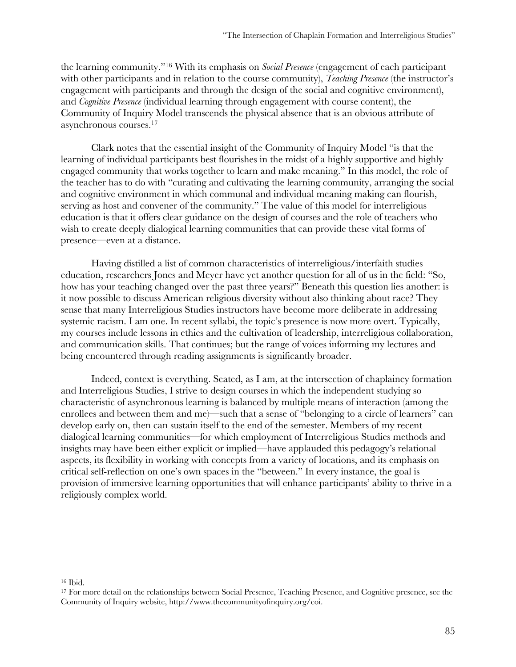the learning community."16 With its emphasis on *Social Presence* (engagement of each participant with other participants and in relation to the course community), *Teaching Presence* (the instructor's engagement with participants and through the design of the social and cognitive environment), and *Cognitive Presence* (individual learning through engagement with course content), the Community of Inquiry Model transcends the physical absence that is an obvious attribute of asynchronous courses.17

Clark notes that the essential insight of the Community of Inquiry Model "is that the learning of individual participants best flourishes in the midst of a highly supportive and highly engaged community that works together to learn and make meaning." In this model, the role of the teacher has to do with "curating and cultivating the learning community, arranging the social and cognitive environment in which communal and individual meaning making can flourish, serving as host and convener of the community." The value of this model for interreligious education is that it offers clear guidance on the design of courses and the role of teachers who wish to create deeply dialogical learning communities that can provide these vital forms of presence—even at a distance.

Having distilled a list of common characteristics of interreligious/interfaith studies education, researchers Jones and Meyer have yet another question for all of us in the field: "So, how has your teaching changed over the past three years?" Beneath this question lies another: is it now possible to discuss American religious diversity without also thinking about race? They sense that many Interreligious Studies instructors have become more deliberate in addressing systemic racism. I am one. In recent syllabi, the topic's presence is now more overt. Typically, my courses include lessons in ethics and the cultivation of leadership, interreligious collaboration, and communication skills. That continues; but the range of voices informing my lectures and being encountered through reading assignments is significantly broader.

Indeed, context is everything. Seated, as I am, at the intersection of chaplaincy formation and Interreligious Studies, I strive to design courses in which the independent studying so characteristic of asynchronous learning is balanced by multiple means of interaction (among the enrollees and between them and me)—such that a sense of "belonging to a circle of learners" can develop early on, then can sustain itself to the end of the semester. Members of my recent dialogical learning communities—for which employment of Interreligious Studies methods and insights may have been either explicit or implied—have applauded this pedagogy's relational aspects, its flexibility in working with concepts from a variety of locations, and its emphasis on critical self-reflection on one's own spaces in the "between." In every instance, the goal is provision of immersive learning opportunities that will enhance participants' ability to thrive in a religiously complex world.

<sup>16</sup> Ibid.

<sup>&</sup>lt;sup>17</sup> For more detail on the relationships between Social Presence, Teaching Presence, and Cognitive presence, see the Community of Inquiry website, http://www.thecommunityofinquiry.org/coi.